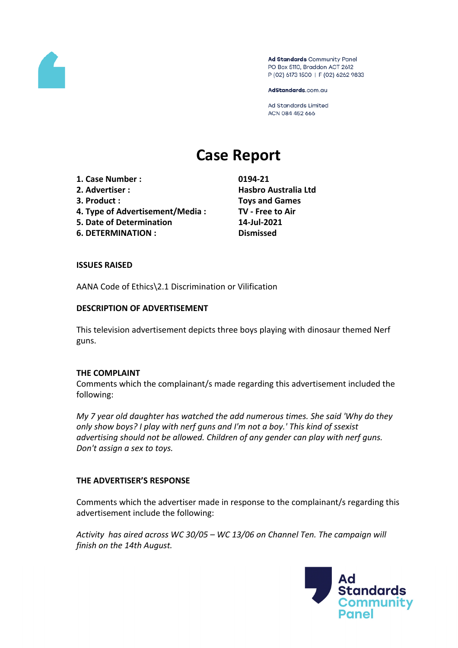

Ad Standards Community Panel PO Box 5110, Braddon ACT 2612 P (02) 6173 1500 | F (02) 6262 9833

AdStandards.com.au

Ad Standards Limited ACN 084 452 666

# **Case Report**

- **1. Case Number : 0194-21**
- 
- 
- **4. Type of Advertisement/Media : TV - Free to Air**
- **5. Date of Determination 14-Jul-2021**
- **6. DETERMINATION : Dismissed**

**2. Advertiser : Hasbro Australia Ltd 3. Product : Toys and Games**

## **ISSUES RAISED**

AANA Code of Ethics\2.1 Discrimination or Vilification

## **DESCRIPTION OF ADVERTISEMENT**

This television advertisement depicts three boys playing with dinosaur themed Nerf guns.

## **THE COMPLAINT**

Comments which the complainant/s made regarding this advertisement included the following:

*My 7 year old daughter has watched the add numerous times. She said 'Why do they only show boys? I play with nerf guns and I'm not a boy.' This kind of ssexist advertising should not be allowed. Children of any gender can play with nerf guns. Don't assign a sex to toys.*

# **THE ADVERTISER'S RESPONSE**

Comments which the advertiser made in response to the complainant/s regarding this advertisement include the following:

*Activity has aired across WC 30/05 – WC 13/06 on Channel Ten. The campaign will finish on the 14th August.*

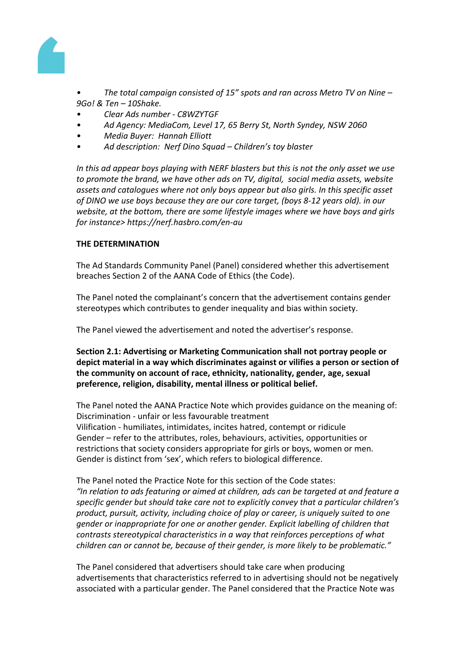

*• The total campaign consisted of 15" spots and ran across Metro TV on Nine – 9Go! & Ten – 10Shake.*

- *• Clear Ads number - C8WZYTGF*
- *• Ad Agency: MediaCom, Level 17, 65 Berry St, North Syndey, NSW 2060*
- *• Media Buyer: Hannah Elliott*
- *• Ad description: Nerf Dino Squad – Children's toy blaster*

*In this ad appear boys playing with NERF blasters but this is not the only asset we use to promote the brand, we have other ads on TV, digital, social media assets, website assets and catalogues where not only boys appear but also girls. In this specific asset of DINO we use boys because they are our core target, (boys 8-12 years old). in our website, at the bottom, there are some lifestyle images where we have boys and girls for instance> https://nerf.hasbro.com/en-au*

## **THE DETERMINATION**

The Ad Standards Community Panel (Panel) considered whether this advertisement breaches Section 2 of the AANA Code of Ethics (the Code).

The Panel noted the complainant's concern that the advertisement contains gender stereotypes which contributes to gender inequality and bias within society.

The Panel viewed the advertisement and noted the advertiser's response.

**Section 2.1: Advertising or Marketing Communication shall not portray people or depict material in a way which discriminates against or vilifies a person or section of the community on account of race, ethnicity, nationality, gender, age, sexual preference, religion, disability, mental illness or political belief.**

The Panel noted the AANA Practice Note which provides guidance on the meaning of: Discrimination - unfair or less favourable treatment Vilification - humiliates, intimidates, incites hatred, contempt or ridicule Gender – refer to the attributes, roles, behaviours, activities, opportunities or restrictions that society considers appropriate for girls or boys, women or men. Gender is distinct from 'sex', which refers to biological difference.

The Panel noted the Practice Note for this section of the Code states: *"In relation to ads featuring or aimed at children, ads can be targeted at and feature a specific gender but should take care not to explicitly convey that a particular children's product, pursuit, activity, including choice of play or career, is uniquely suited to one gender or inappropriate for one or another gender. Explicit labelling of children that contrasts stereotypical characteristics in a way that reinforces perceptions of what children can or cannot be, because of their gender, is more likely to be problematic."*

The Panel considered that advertisers should take care when producing advertisements that characteristics referred to in advertising should not be negatively associated with a particular gender. The Panel considered that the Practice Note was